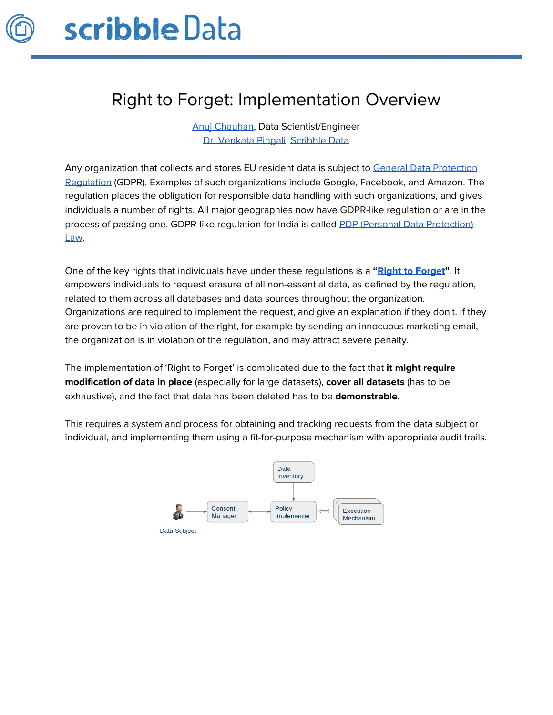

## Right to Forget: Implementation Overview

Anuj [Chauhan,](https://www.linkedin.com/in/anuj-chauhan-b23329121/) Data Scientist/Engineer Dr. [Venkata](https://www.linkedin.com/in/pingali) Pingali, [Scribble](https://www.scribbledata.io/) Data

Any organization that collects and stores EU resident data is subject to General Data [Protection](https://gdpr.eu/) [Regulation](https://gdpr.eu/) (GDPR). Examples of such organizations include Google, Facebook, and Amazon. The regulation places the obligation for responsible data handling with such organizations, and gives individuals a number of rights. All major geographies now have GDPR-like regulation or are in the process of passing one. GDPR-like regulation for India is called PDP (Personal Data [Protection\)](https://en.wikipedia.org/wiki/Personal_Data_Protection_Bill,_2019) [Law.](https://en.wikipedia.org/wiki/Personal_Data_Protection_Bill,_2019)

One of the key rights that individuals have under these regulations is a **"Right to [Forget](https://ico.org.uk/for-organisations/guide-to-data-protection/guide-to-the-general-data-protection-regulation-gdpr/individual-rights/right-to-erasure/)"**. It empowers individuals to request erasure of all non-essential data, as defined by the regulation, related to them across all databases and data sources throughout the organization. Organizations are required to implement the request, and give an explanation if they don't. If they are proven to be in violation of the right, for example by sending an innocuous marketing email, the organization is in violation of the regulation, and may attract severe penalty.

The implementation of 'Right to Forget' is complicated due to the fact that **it might require modification of data in place** (especially for large datasets), **cover all datasets** (has to be exhaustive), and the fact that data has been deleted has to be **demonstrable**.

This requires a system and process for obtaining and tracking requests from the data subject or individual, and implementing them using a fit-for-purpose mechanism with appropriate audit trails.

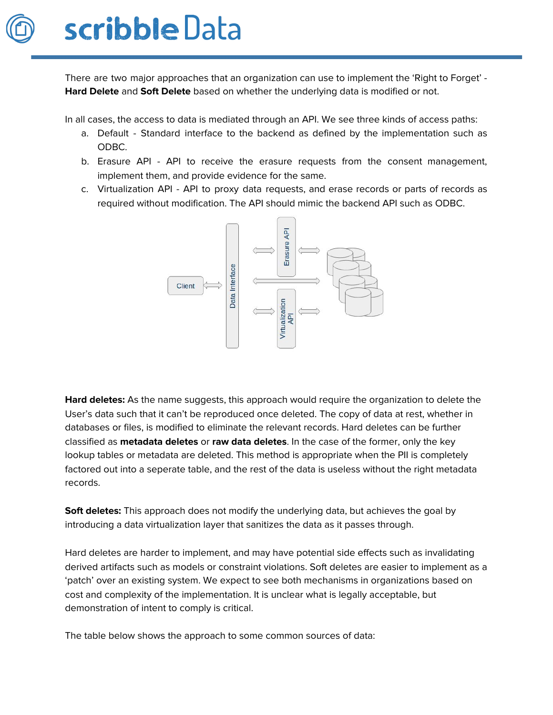

There are two major approaches that an organization can use to implement the 'Right to Forget' - **Hard Delete** and **Soft Delete** based on whether the underlying data is modified or not.

In all cases, the access to data is mediated through an API. We see three kinds of access paths:

- a. Default Standard interface to the backend as defined by the implementation such as ODBC.
- b. Erasure API API to receive the erasure requests from the consent management, implement them, and provide evidence for the same.
- c. Virtualization API API to proxy data requests, and erase records or parts of records as required without modification. The API should mimic the backend API such as ODBC.



**Hard deletes:** As the name suggests, this approach would require the organization to delete the User's data such that it can't be reproduced once deleted. The copy of data at rest, whether in databases or files, is modified to eliminate the relevant records. Hard deletes can be further classified as **metadata deletes** or **raw data deletes**. In the case of the former, only the key lookup tables or metadata are deleted. This method is appropriate when the PII is completely factored out into a seperate table, and the rest of the data is useless without the right metadata records.

**Soft deletes:** This approach does not modify the underlying data, but achieves the goal by introducing a data virtualization layer that sanitizes the data as it passes through.

Hard deletes are harder to implement, and may have potential side effects such as invalidating derived artifacts such as models or constraint violations. Soft deletes are easier to implement as a 'patch' over an existing system. We expect to see both mechanisms in organizations based on cost and complexity of the implementation. It is unclear what is legally acceptable, but demonstration of intent to comply is critical.

The table below shows the approach to some common sources of data: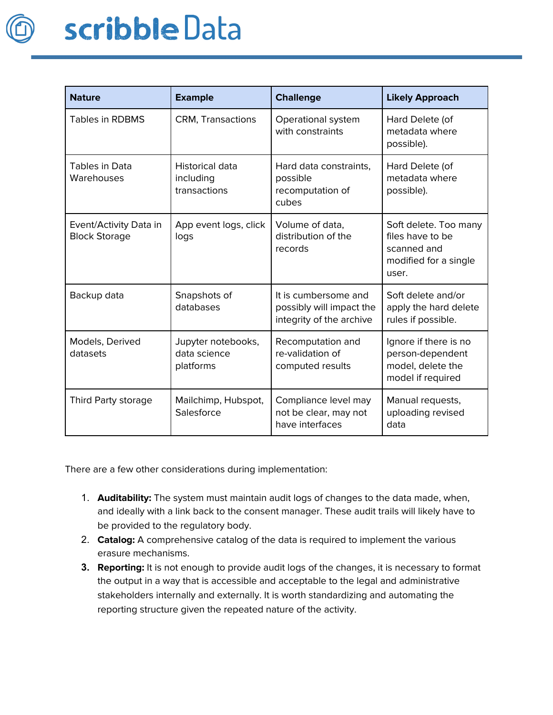

| <b>Nature</b>                                  | <b>Example</b>                                  | <b>Challenge</b>                                                             | <b>Likely Approach</b>                                                                     |
|------------------------------------------------|-------------------------------------------------|------------------------------------------------------------------------------|--------------------------------------------------------------------------------------------|
| <b>Tables in RDBMS</b>                         | <b>CRM, Transactions</b>                        | Operational system<br>with constraints                                       | Hard Delete (of<br>metadata where<br>possible).                                            |
| Tables in Data<br>Warehouses                   | Historical data<br>including<br>transactions    | Hard data constraints,<br>possible<br>recomputation of<br>cubes              | Hard Delete (of<br>metadata where<br>possible).                                            |
| Event/Activity Data in<br><b>Block Storage</b> | App event logs, click<br>logs                   | Volume of data,<br>distribution of the<br>records                            | Soft delete. Too many<br>files have to be<br>scanned and<br>modified for a single<br>user. |
| Backup data                                    | Snapshots of<br>databases                       | It is cumbersome and<br>possibly will impact the<br>integrity of the archive | Soft delete and/or<br>apply the hard delete<br>rules if possible.                          |
| Models, Derived<br>datasets                    | Jupyter notebooks,<br>data science<br>platforms | Recomputation and<br>re-validation of<br>computed results                    | Ignore if there is no<br>person-dependent<br>model, delete the<br>model if required        |
| Third Party storage                            | Mailchimp, Hubspot,<br>Salesforce               | Compliance level may<br>not be clear, may not<br>have interfaces             | Manual requests,<br>uploading revised<br>data                                              |

There are a few other considerations during implementation:

- 1. **Auditability:** The system must maintain audit logs of changes to the data made, when, and ideally with a link back to the consent manager. These audit trails will likely have to be provided to the regulatory body.
- 2. **Catalog:** A comprehensive catalog of the data is required to implement the various erasure mechanisms.
- **3. Reporting:** It is not enough to provide audit logs of the changes, it is necessary to format the output in a way that is accessible and acceptable to the legal and administrative stakeholders internally and externally. It is worth standardizing and automating the reporting structure given the repeated nature of the activity.